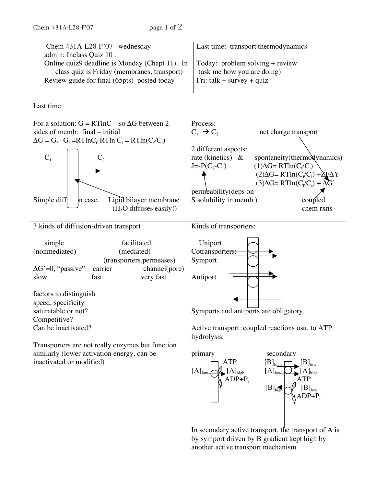| Chem $431A-L28-F'07$ wednesday                 | Last time: transport thermodynamics |
|------------------------------------------------|-------------------------------------|
| admin: Inclass Quiz 10.                        |                                     |
| Online quiz9 deadline is Monday (Chapt 11). In | Today: problem solving $+$ review   |
| class quiz is Friday (membranes, transport)    | (ask me how you are doing)          |
| Review guide for final (65pts) posted today    | Fri: talk + survey + quiz           |
|                                                |                                     |

Last time:

Competitive?

Can be inactivated?

inactivated or modified)

similarly (lower activation energy, can be



Symports and antiports are obligatory.

Active transport: coupled reactions usu. to ATP hydrolysis.